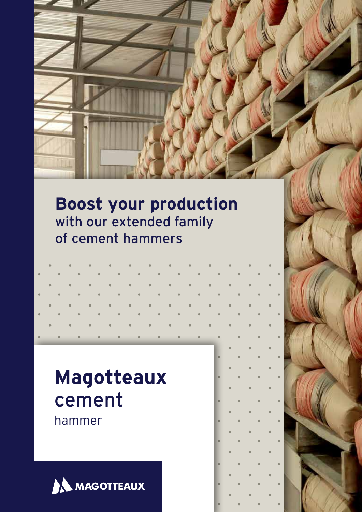## **Boost your production** with our extended family of cement hammers

# **Magotteaux** cement

hammer

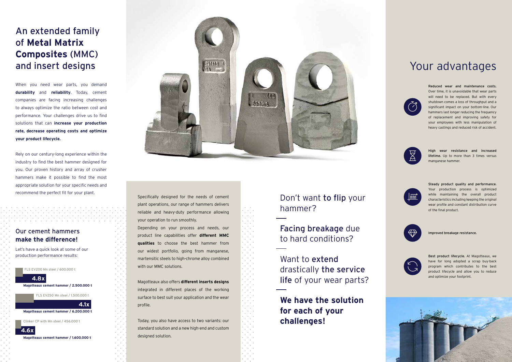When you need wear parts, you demand **durability** and **reliability**. Today, cement companies are facing increasing challenges to always optimize the ratio between cost and performance. Your challenges drive us to find solutions that can **increase your production rate, decrease operating costs and optimize your product lifecycle.**

Rely on our century-long experience within the industry to find the best hammer designed for you. Our proven history and array of crusher hammers make it possible to find the most appropriate solution for your specific needs and recommend the perfect fit for your plant. Specifically designed for the needs of cement

plant operations, our range of hammers delivers reliable and heavy-duty performance allowing your operation to run smoothly.

Depending on your process and needs, our product line capabilities offer **different MMC qualities** to choose the best hammer from our widest portfolio, going from manganese, martensitic steels to high-chrome alloy combined with our MMC solutions.

Magotteaux also offers **different inserts designs**  integrated in different places of the working surface to best suit your application and the wear profile.

Want to extend drastically the service life of your wear parts?

Today, you also have access to two variants: our standard solution and a new high-end and custom designed solution.

Best product lifecycle. At Magotteaux, we have for long adopted a scrap buy-back program which contributes to the best product lifecycle and allow you to reduce and optimize your footprint.



Improved breakage resistance.



Steady product quality and performance. Your production process is optimized while maintaining the overall product characteristics including keeping the original wear profile and constant distribution curve of the final product.



High wear resistance and increased lifetime. Up to more than 3 times versus manganese hammer.



Reduced wear and maintenance costs. Over time, it is unavoidable that wear parts will need to be replaced. But with every shutdown comes a loss of throughput and a significant impact on your bottom-line. Our hammers last longer reducing the frequency of replacement and improving safety for your employees with less manipulation of heavy castings and reduced risk of accident.



### An extended family of **Metal Matrix Composites** (MMC) and insert designs

### Don't want to flip your hammer?

Facing breakage due to hard conditions?

**We have the solution for each of your challenges!**

### Your advantages



#### Our cement hammers **make the difference!**

Let's have a quick look at some of our production performance results:

FLS EV200 Mn steel / 600.000 t

FLS EV250 Mn steel / 1.500.000 t

Clinker CP with Mn steel / 456.000 t

**Magotteaux cement hammer / 2.500.000 t** 

**Magotteaux cement hammer / 6.200.000 t**